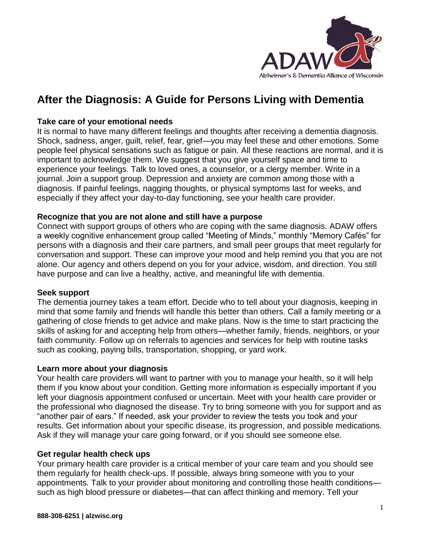

# **After the Diagnosis: A Guide for Persons Living with Dementia**

## **Take care of your emotional needs**

It is normal to have many different feelings and thoughts after receiving a dementia diagnosis. Shock, sadness, anger, guilt, relief, fear, grief—you may feel these and other emotions. Some people feel physical sensations such as fatigue or pain. All these reactions are normal, and it is important to acknowledge them. We suggest that you give yourself space and time to experience your feelings. Talk to loved ones, a counselor, or a clergy member. Write in a journal. Join a support group. Depression and anxiety are common among those with a diagnosis. If painful feelings, nagging thoughts, or physical symptoms last for weeks, and especially if they affect your day-to-day functioning, see your health care provider.

#### **Recognize that you are not alone and still have a purpose**

Connect with support groups of others who are coping with the same diagnosis. ADAW offers a weekly cognitive enhancement group called "Meeting of Minds," monthly "Memory Cafés" for persons with a diagnosis and their care partners, and small peer groups that meet regularly for conversation and support. These can improve your mood and help remind you that you are not alone. Our agency and others depend on you for your advice, wisdom, and direction. You still have purpose and can live a healthy, active, and meaningful life with dementia.

#### **Seek support**

The dementia journey takes a team effort. Decide who to tell about your diagnosis, keeping in mind that some family and friends will handle this better than others. Call a family meeting or a gathering of close friends to get advice and make plans. Now is the time to start practicing the skills of asking for and accepting help from others—whether family, friends, neighbors, or your faith community. Follow up on referrals to agencies and services for help with routine tasks such as cooking, paying bills, transportation, shopping, or yard work.

#### **Learn more about your diagnosis**

Your health care providers will want to partner with you to manage your health, so it will help them if you know about your condition. Getting more information is especially important if you left your diagnosis appointment confused or uncertain. Meet with your health care provider or the professional who diagnosed the disease. Try to bring someone with you for support and as "another pair of ears." If needed, ask your provider to review the tests you took and your results. Get information about your specific disease, its progression, and possible medications. Ask if they will manage your care going forward, or if you should see someone else.

#### **Get regular health check ups**

Your primary health care provider is a critical member of your care team and you should see them regularly for health check-ups. If possible, always bring someone with you to your appointments*.* Talk to your provider about monitoring and controlling those health conditions such as high blood pressure or diabetes—that can affect thinking and memory. Tell your